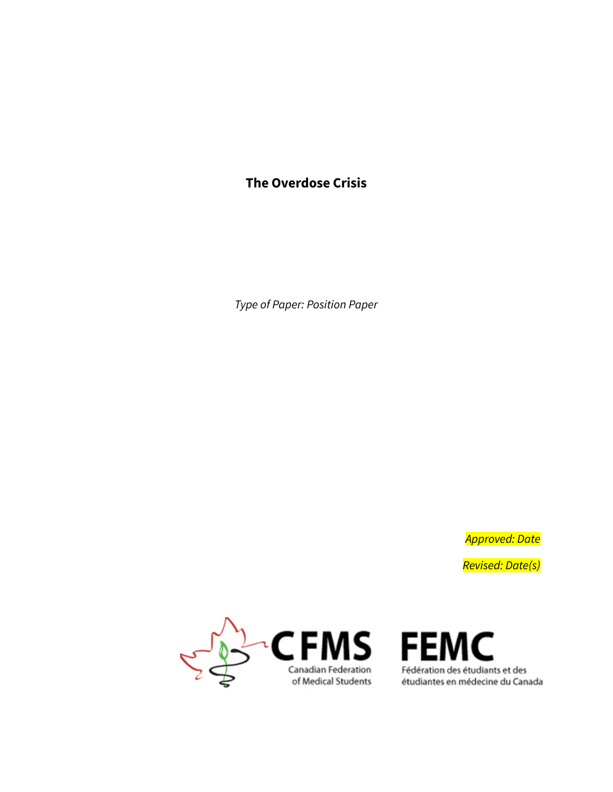# **The Overdose Crisis**

*Type of Paper: Position Paper*

*Approved: Date Revised: Date(s)*



 $\mathbf{F} \mathbf{M} \mathbf{S}$  FEMC<br>
Canadian Federation<br>
of Medical Students et diantes en médecine du Canada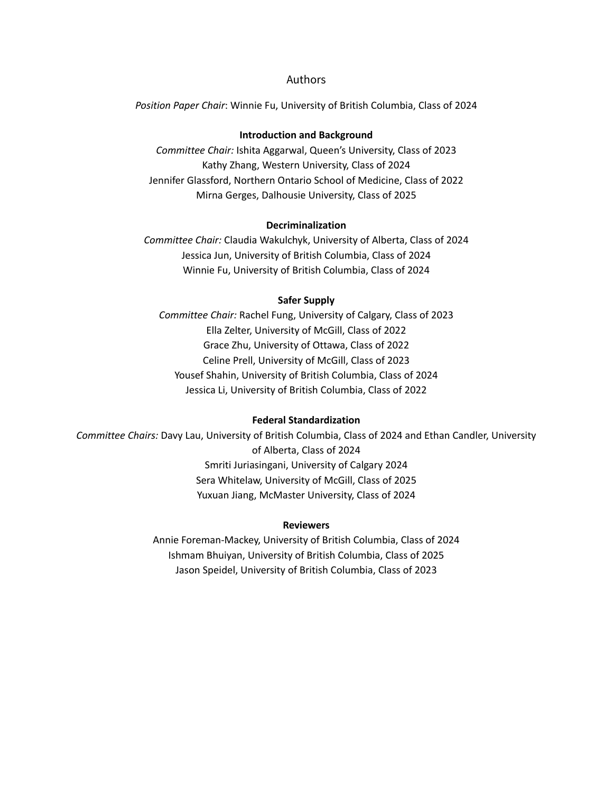#### Authors

*Position Paper Chair*: Winnie Fu, University of British Columbia, Class of 2024

#### **Introduction and Background**

*Committee Chair:* Ishita Aggarwal, Queen's University, Class of 2023 Kathy Zhang, Western University, Class of 2024 Jennifer Glassford, Northern Ontario School of Medicine, Class of 2022 Mirna Gerges, Dalhousie University, Class of 2025

#### **Decriminalization**

*Committee Chair:* Claudia Wakulchyk, University of Alberta, Class of 2024 Jessica Jun, University of British Columbia, Class of 2024 Winnie Fu, University of British Columbia, Class of 2024

#### **Safer Supply**

*Committee Chair:* Rachel Fung, University of Calgary, Class of 2023 Ella Zelter, University of McGill, Class of 2022 Grace Zhu, University of Ottawa, Class of 2022 Celine Prell, University of McGill, Class of 2023 Yousef Shahin, University of British Columbia, Class of 2024 Jessica Li, University of British Columbia, Class of 2022

#### **Federal Standardization**

*Committee Chairs:* Davy Lau, University of British Columbia, Class of 2024 and Ethan Candler, University of Alberta, Class of 2024 Smriti Juriasingani, University of Calgary 2024 Sera Whitelaw, University of McGill, Class of 2025 Yuxuan Jiang, McMaster University, Class of 2024

#### **Reviewers**

Annie Foreman-Mackey, University of British Columbia, Class of 2024 Ishmam Bhuiyan, University of British Columbia, Class of 2025 Jason Speidel, University of British Columbia, Class of 2023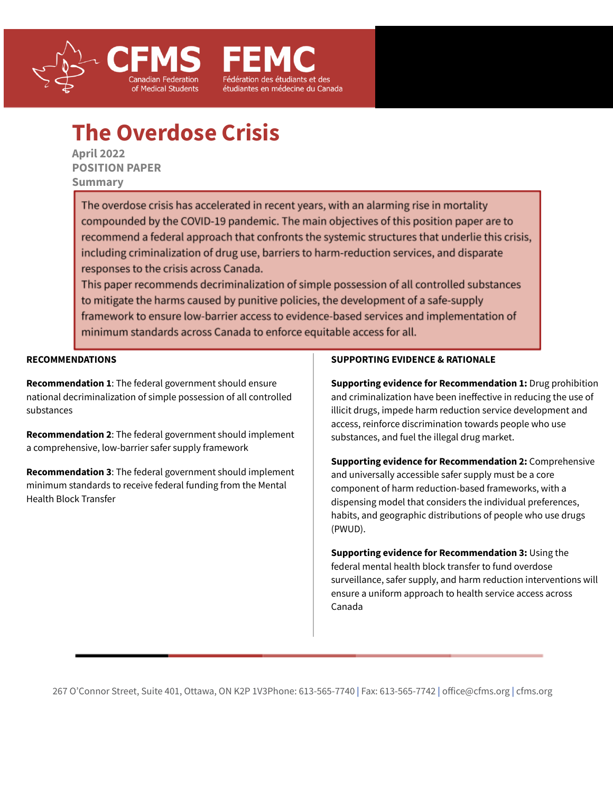



**April 2022 POSITION PAPER Summary**

> The overdose crisis has accelerated in recent years, with an alarming rise in mortality compounded by the COVID-19 pandemic. The main objectives of this position paper are to recommend a federal approach that confronts the systemic structures that underlie this crisis, including criminalization of drug use, barriers to harm-reduction services, and disparate responses to the crisis across Canada.

étudiantes en médecine du Canada

This paper recommends decriminalization of simple possession of all controlled substances to mitigate the harms caused by punitive policies, the development of a safe-supply framework to ensure low-barrier access to evidence-based services and implementation of minimum standards across Canada to enforce equitable access for all.

**RECOMMENDATIONS**

**Recommendation 1**: The federal government should ensure national decriminalization of simple possession of all controlled substances

**Recommendation 2**: The federal government should implement a comprehensive, low-barrier safer supply framework

**Recommendation 3**: The federal government should implement minimum standards to receive federal funding from the Mental Health Block Transfer

#### **SUPPORTING EVIDENCE & RATIONALE**

**Supporting evidence for Recommendation 1:** Drug prohibition and criminalization have been ineffective in reducing the use of illicit drugs, impede harm reduction service development and access, reinforce discrimination towards people who use substances, and fuel the illegal drug market.

**Supporting evidence for Recommendation 2:** Comprehensive and universally accessible safer supply must be a core component of harm reduction-based frameworks, with a dispensing model that considers the individual preferences, habits, and geographic distributions of people who use drugs (PWUD).

**Supporting evidence for Recommendation 3:** Using the federal mental health block transfer to fund overdose surveillance, safer supply, and harm reduction interventions will ensure a uniform approach to health service access across Canada

267 O'Connor Street, Suite 401, Ottawa, ON K2P 1V3Phone: 613-565-7740 | Fax: 613-565-7742 | [office@cfms.org](mailto:info@residentdoctors.ca) | cfms.org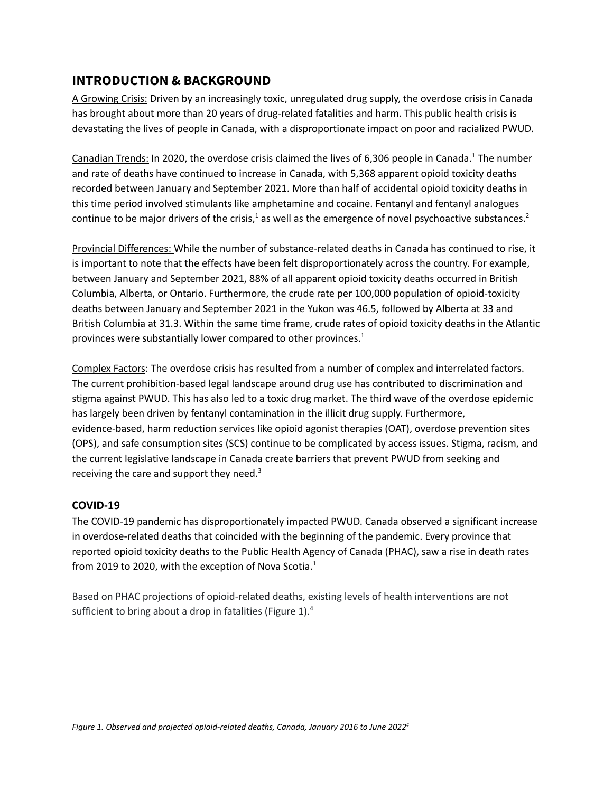# **INTRODUCTION & BACKGROUND**

A Growing Crisis: Driven by an increasingly toxic, unregulated drug supply, the overdose crisis in Canada has brought about more than 20 years of drug-related fatalities and harm. This public health crisis is devastating the lives of people in Canada, with a disproportionate impact on poor and racialized PWUD.

Canadian Trends: In 2020, the overdose crisis claimed the lives of 6,306 people in Canada.<sup>[1](https://www.zotero.org/google-docs/?7WCF7n)</sup> The number and rate of deaths have continued to increase in Canada, with 5,368 apparent opioid toxicity deaths recorded between January and September 2021. More than half of accidental opioid toxicity deaths in this time period involved stimulants like amphetamine and cocaine. Fentanyl and fentanyl analogues continue to be major drivers of the crisis,<sup>[1](https://www.zotero.org/google-docs/?WzCr3P)</sup> as well as the emergence of novel psychoactive substances.<sup>[2](https://www.zotero.org/google-docs/?rZKYH6)</sup>

Provincial Differences: While the number of substance-related deaths in Canada has continued to rise, it is important to note that the effects have been felt disproportionately across the country. For example, between January and September 2021, 88% of all apparent opioid toxicity deaths occurred in British Columbia, Alberta, or Ontario. Furthermore, the crude rate per 100,000 population of opioid-toxicity deaths between January and September 2021 in the Yukon was 46.5, followed by Alberta at 33 and British Columbia at 31.3. Within the same time frame, crude rates of opioid toxicity deaths in the Atlantic provinces were substantially lower compared to other provinces. [1](https://www.zotero.org/google-docs/?JycXvX)

Complex Factors: The overdose crisis has resulted from a number of complex and interrelated factors. The current prohibition-based legal landscape around drug use has contributed to discrimination and stigma against PWUD. This has also led to a toxic drug market. The third wave of the overdose epidemic has largely been driven by fentanyl contamination in the illicit drug supply. Furthermore, evidence-based, harm reduction services like opioid agonist therapies (OAT), overdose prevention sites (OPS), and safe consumption sites (SCS) continue to be complicated by access issues. Stigma, racism, and the current legislative landscape in Canada create barriers that prevent PWUD from seeking and receiving the care and support they need.<sup>[3](https://www.zotero.org/google-docs/?wEPbS3)</sup>

## **COVID-19**

The COVID-19 pandemic has disproportionately impacted PWUD. Canada observed a significant increase in overdose-related deaths that coincided with the beginning of the pandemic. Every province that reported opioid toxicity deaths to the Public Health Agency of Canada (PHAC), saw a rise in death rates from 20[1](https://www.zotero.org/google-docs/?oclf1U)9 to 2020, with the exception of Nova Scotia. $^1$ 

Based on PHAC projections of opioid-related deaths, existing levels of health interventions are not sufficient to bring about a drop in fatalities (Figure 1).<sup>[4](https://www.zotero.org/google-docs/?rhSrs8)</sup>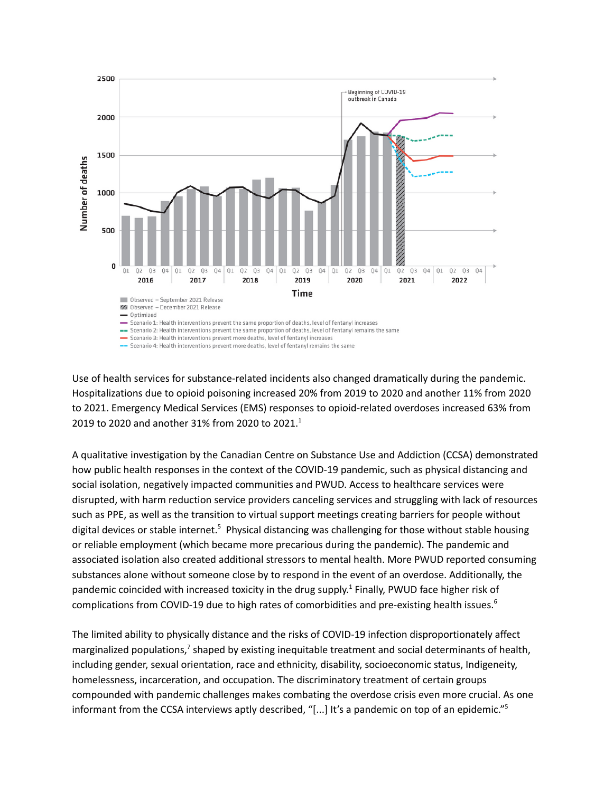

Use of health services for substance-related incidents also changed dramatically during the pandemic. Hospitalizations due to opioid poisoning increased 20% from 2019 to 2020 and another 11% from 2020 to 2021. Emergency Medical Services (EMS) responses to opioid-related overdoses increased 63% from 20[1](https://www.zotero.org/google-docs/?jloa7l)9 to 2020 and another 31% from 2020 to 2021.<sup>1</sup>

A qualitative investigation by the Canadian Centre on Substance Use and Addiction (CCSA) demonstrated how public health responses in the context of the COVID-19 pandemic, such as physical distancing and social isolation, negatively impacted communities and PWUD. Access to healthcare services were disrupted, with harm reduction service providers canceling services and struggling with lack of resources such as PPE, as well as the transition to virtual support meetings creating barriers for people without digital devices or stable internet.<sup>[5](https://www.zotero.org/google-docs/?wHc9Lf)</sup> Physical distancing was challenging for those without stable housing or reliable employment (which became more precarious during the pandemic). The pandemic and associated isolation also created additional stressors to mental health. More PWUD reported consuming substances alone without someone close by to respond in the event of an overdose. Additionally, the pandemic coincided with increased toxicity in the drug supply.<sup>[1](https://www.zotero.org/google-docs/?ns0MEa)</sup> Finally, PWUD face higher risk of complications from COVID-19 due to high rates of comorbidities and pre-existing health issues. [6](https://www.zotero.org/google-docs/?x0waRY)

The limited ability to physically distance and the risks of COVID-19 infection disproportionately affect marginalized populations,<sup>[7](https://www.zotero.org/google-docs/?LYFg7F)</sup> shaped by existing inequitable treatment and social determinants of health, including gender, sexual orientation, race and ethnicity, disability, socioeconomic status, Indigeneity, homelessness, incarceration, and occupation. The discriminatory treatment of certain groups compounded with pandemic challenges makes combating the overdose crisis even more crucial. As one informant from the CCSA interviews aptly described, "[...] It's a pandemic on top of an epidemic." [5](https://www.zotero.org/google-docs/?PIxXxB)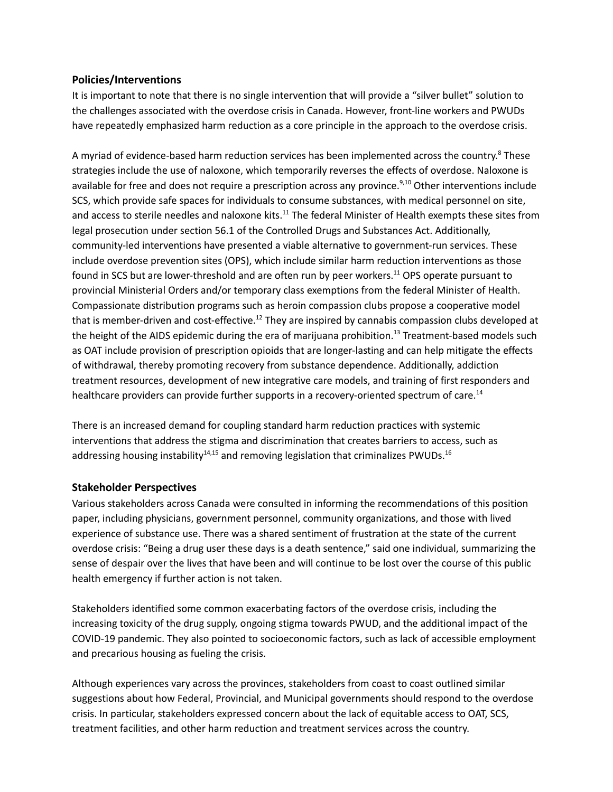### **Policies/Interventions**

It is important to note that there is no single intervention that will provide a "silver bullet" solution to the challenges associated with the overdose crisis in Canada. However, front-line workers and PWUDs have repeatedly emphasized harm reduction as a core principle in the approach to the overdose crisis.

A myriad of evidence-based harm reduction services has been implemented across the country.<sup>[8](https://www.zotero.org/google-docs/?NWG2Up)</sup> These strategies include the use of naloxone, which temporarily reverses the effects of overdose. Naloxone is available for free and does not require a prescription across any province.<sup>[9,10](https://www.zotero.org/google-docs/?5l7ktn)</sup> Other interventions include SCS, which provide safe spaces for individuals to consume substances, with medical personnel on site, and access to sterile needles and naloxone kits.<sup>[11](https://www.zotero.org/google-docs/?aCzySL)</sup> The federal Minister of Health exempts these sites from legal prosecution under section 56.1 of the Controlled Drugs and Substances Act. Additionally, community-led interventions have presented a viable alternative to government-run services. These include overdose prevention sites (OPS), which include similar harm reduction interventions as those found in SCS but are lower-threshold and are often run by peer workers.<sup>[11](https://www.zotero.org/google-docs/?xcfufX)</sup> OPS operate pursuant to provincial Ministerial Orders and/or temporary class exemptions from the federal Minister of Health. Compassionate distribution programs such as heroin compassion clubs propose a cooperative model that is member-driven and cost-effective.<sup>[12](https://www.zotero.org/google-docs/?0eEJWL)</sup> They are inspired by cannabis compassion clubs developed at the height of the AIDS epidemic during the era of marijuana prohibition.<sup>[13](https://www.zotero.org/google-docs/?x94Oe0)</sup> Treatment-based models such as OAT include provision of prescription opioids that are longer-lasting and can help mitigate the effects of withdrawal, thereby promoting recovery from substance dependence. Additionally, addiction treatment resources, development of new integrative care models, and training of first responders and healthcare providers can provide further supports in a recovery-oriented spectrum of care.<sup>[14](https://www.zotero.org/google-docs/?9XDAsV)</sup>

There is an increased demand for coupling standard harm reduction practices with systemic interventions that address the stigma and discrimination that creates barriers to access, such as addressing housing instability $^{14,15}$  $^{14,15}$  $^{14,15}$  and removing legislation that criminalizes PWUDs.<sup>[16](https://www.zotero.org/google-docs/?5FTSy0)</sup>

### **Stakeholder Perspectives**

Various stakeholders across Canada were consulted in informing the recommendations of this position paper, including physicians, government personnel, community organizations, and those with lived experience of substance use. There was a shared sentiment of frustration at the state of the current overdose crisis: "Being a drug user these days is a death sentence," said one individual, summarizing the sense of despair over the lives that have been and will continue to be lost over the course of this public health emergency if further action is not taken.

Stakeholders identified some common exacerbating factors of the overdose crisis, including the increasing toxicity of the drug supply, ongoing stigma towards PWUD, and the additional impact of the COVID-19 pandemic. They also pointed to socioeconomic factors, such as lack of accessible employment and precarious housing as fueling the crisis.

Although experiences vary across the provinces, stakeholders from coast to coast outlined similar suggestions about how Federal, Provincial, and Municipal governments should respond to the overdose crisis. In particular, stakeholders expressed concern about the lack of equitable access to OAT, SCS, treatment facilities, and other harm reduction and treatment services across the country.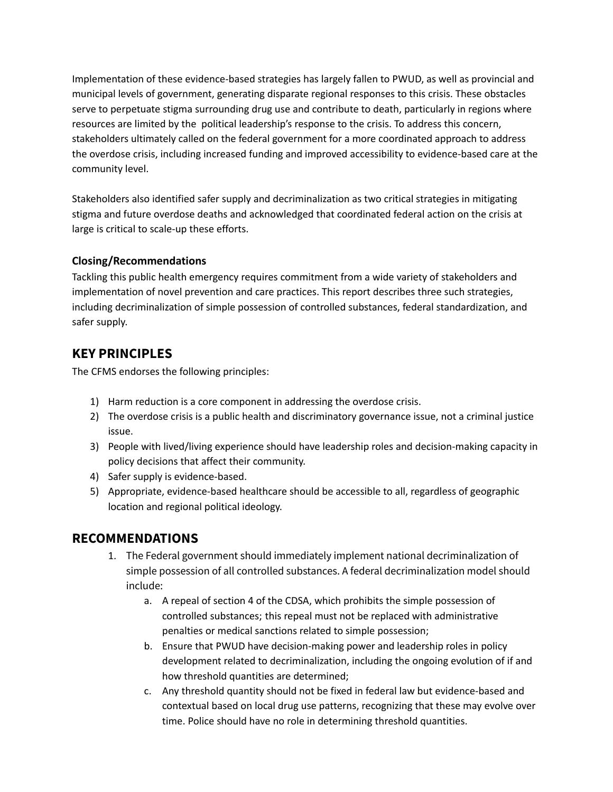Implementation of these evidence-based strategies has largely fallen to PWUD, as well as provincial and municipal levels of government, generating disparate regional responses to this crisis. These obstacles serve to perpetuate stigma surrounding drug use and contribute to death, particularly in regions where resources are limited by the political leadership's response to the crisis. To address this concern, stakeholders ultimately called on the federal government for a more coordinated approach to address the overdose crisis, including increased funding and improved accessibility to evidence-based care at the community level.

Stakeholders also identified safer supply and decriminalization as two critical strategies in mitigating stigma and future overdose deaths and acknowledged that coordinated federal action on the crisis at large is critical to scale-up these efforts.

### **Closing/Recommendations**

Tackling this public health emergency requires commitment from a wide variety of stakeholders and implementation of novel prevention and care practices. This report describes three such strategies, including decriminalization of simple possession of controlled substances, federal standardization, and safer supply.

## **KEY PRINCIPLES**

The CFMS endorses the following principles:

- 1) Harm reduction is a core component in addressing the overdose crisis.
- 2) The overdose crisis is a public health and discriminatory governance issue, not a criminal justice issue.
- 3) People with lived/living experience should have leadership roles and decision-making capacity in policy decisions that affect their community.
- 4) Safer supply is evidence-based.
- 5) Appropriate, evidence-based healthcare should be accessible to all, regardless of geographic location and regional political ideology.

## **RECOMMENDATIONS**

- 1. The Federal government should immediately implement national decriminalization of simple possession of all controlled substances. A federal decriminalization model should include:
	- a. A repeal of section 4 of the CDSA, which prohibits the simple possession of controlled substances; this repeal must not be replaced with administrative penalties or medical sanctions related to simple possession;
	- b. Ensure that PWUD have decision-making power and leadership roles in policy development related to decriminalization, including the ongoing evolution of if and how threshold quantities are determined;
	- c. Any threshold quantity should not be fixed in federal law but evidence-based and contextual based on local drug use patterns, recognizing that these may evolve over time. Police should have no role in determining threshold quantities.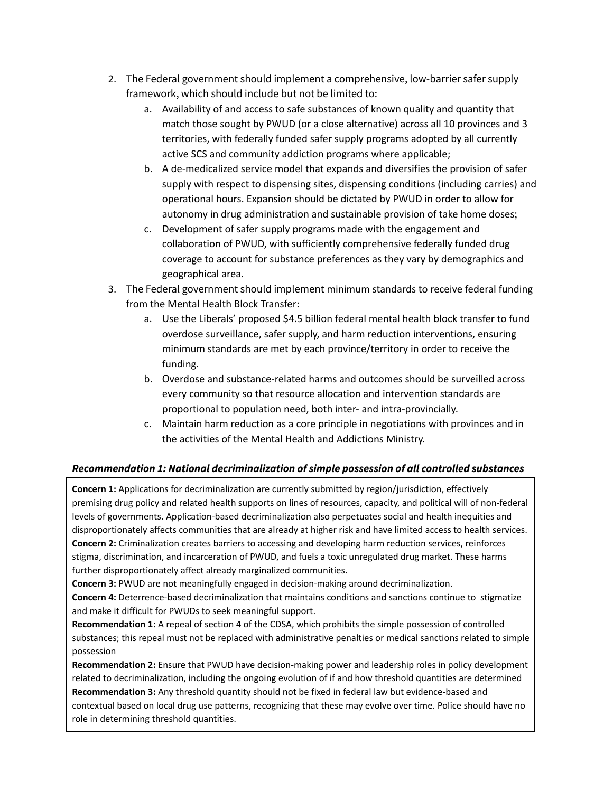- 2. The Federal government should implement a comprehensive, low-barrier safer supply framework, which should include but not be limited to:
	- a. Availability of and access to safe substances of known quality and quantity that match those sought by PWUD (or a close alternative) across all 10 provinces and 3 territories, with federally funded safer supply programs adopted by all currently active SCS and community addiction programs where applicable;
	- b. A de-medicalized service model that expands and diversifies the provision of safer supply with respect to dispensing sites, dispensing conditions (including carries) and operational hours. Expansion should be dictated by PWUD in order to allow for autonomy in drug administration and sustainable provision of take home doses;
	- c. Development of safer supply programs made with the engagement and collaboration of PWUD, with sufficiently comprehensive federally funded drug coverage to account for substance preferences as they vary by demographics and geographical area.
- 3. The Federal government should implement minimum standards to receive federal funding from the Mental Health Block Transfer:
	- a. Use the Liberals' proposed \$4.5 billion federal mental health block transfer to fund overdose surveillance, safer supply, and harm reduction interventions, ensuring minimum standards are met by each province/territory in order to receive the funding.
	- b. Overdose and substance-related harms and outcomes should be surveilled across every community so that resource allocation and intervention standards are proportional to population need, both inter- and intra-provincially.
	- c. Maintain harm reduction as a core principle in negotiations with provinces and in the activities of the Mental Health and Addictions Ministry.

## *Recommendation 1: National decriminalization of simple possession of all controlled substances*

**Concern 1:** Applications for decriminalization are currently submitted by region/jurisdiction, effectively premising drug policy and related health supports on lines of resources, capacity, and political will of non-federal levels of governments. Application-based decriminalization also perpetuates social and health inequities and disproportionately affects communities that are already at higher risk and have limited access to health services. **Concern 2:** Criminalization creates barriers to accessing and developing harm reduction services, reinforces stigma, discrimination, and incarceration of PWUD, and fuels a toxic unregulated drug market. These harms further disproportionately affect already marginalized communities.

**Concern 3:** PWUD are not meaningfully engaged in decision-making around decriminalization.

**Concern 4:** Deterrence-based decriminalization that maintains conditions and sanctions continue to stigmatize and make it difficult for PWUDs to seek meaningful support.

**Recommendation 1:** A repeal of section 4 of the CDSA, which prohibits the simple possession of controlled substances; this repeal must not be replaced with administrative penalties or medical sanctions related to simple possession

**Recommendation 2:** Ensure that PWUD have decision-making power and leadership roles in policy development related to decriminalization, including the ongoing evolution of if and how threshold quantities are determined **Recommendation 3:** Any threshold quantity should not be fixed in federal law but evidence-based and contextual based on local drug use patterns, recognizing that these may evolve over time. Police should have no role in determining threshold quantities.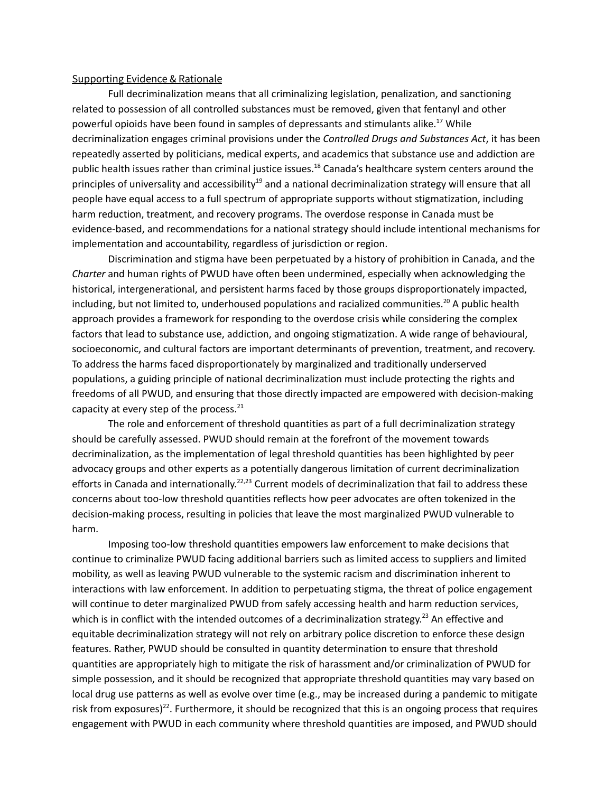#### Supporting Evidence & Rationale

Full decriminalization means that all criminalizing legislation, penalization, and sanctioning related to possession of all controlled substances must be removed, given that fentanyl and other powerful opioids have been found in samples of depressants and stimulants alike. [17](https://www.zotero.org/google-docs/?vD29Jt) While decriminalization engages criminal provisions under the *Controlled Drugs and Substances Act*, it has been repeatedly asserted by politicians, medical experts, and academics that substance use and addiction are public health issues rather than criminal justice issues.<sup>[18](https://www.zotero.org/google-docs/?5F1DXf)</sup> Canada's healthcare system centers around the principles of universality and accessibility<sup>[19](https://www.zotero.org/google-docs/?HgtS8k)</sup> and a national decriminalization strategy will ensure that all people have equal access to a full spectrum of appropriate supports without stigmatization, including harm reduction, treatment, and recovery programs. The overdose response in Canada must be evidence-based, and recommendations for a national strategy should include intentional mechanisms for implementation and accountability, regardless of jurisdiction or region.

Discrimination and stigma have been perpetuated by a history of prohibition in Canada, and the *Charter* and human rights of PWUD have often been undermined, especially when acknowledging the historical, intergenerational, and persistent harms faced by those groups disproportionately impacted, including, but not limited to, underhoused populations and racialized communities.<sup>[20](https://www.zotero.org/google-docs/?6O1Dx6)</sup> A public health approach provides a framework for responding to the overdose crisis while considering the complex factors that lead to substance use, addiction, and ongoing stigmatization. A wide range of behavioural, socioeconomic, and cultural factors are important determinants of prevention, treatment, and recovery. To address the harms faced disproportionately by marginalized and traditionally underserved populations, a guiding principle of national decriminalization must include protecting the rights and freedoms of all PWUD, and ensuring that those directly impacted are empowered with decision-making capacity at every step of the process.<sup>[21](https://www.zotero.org/google-docs/?s3xTIh)</sup>

The role and enforcement of threshold quantities as part of a full decriminalization strategy should be carefully assessed. PWUD should remain at the forefront of the movement towards decriminalization, as the implementation of legal threshold quantities has been highlighted by peer advocacy groups and other experts as a potentially dangerous limitation of current decriminalization efforts in Canada and internationally.<sup>[22,23](https://www.zotero.org/google-docs/?xlm1bh)</sup> Current models of decriminalization that fail to address these concerns about too-low threshold quantities reflects how peer advocates are often tokenized in the decision-making process, resulting in policies that leave the most marginalized PWUD vulnerable to harm.

Imposing too-low threshold quantities empowers law enforcement to make decisions that continue to criminalize PWUD facing additional barriers such as limited access to suppliers and limited mobility, as well as leaving PWUD vulnerable to the systemic racism and discrimination inherent to interactions with law enforcement. In addition to perpetuating stigma, the threat of police engagement will continue to deter marginalized PWUD from safely accessing health and harm reduction services, which is in conflict with the intended outcomes of a decriminalization strategy.<sup>[23](https://www.zotero.org/google-docs/?ATUlyI)</sup> An effective and equitable decriminalization strategy will not rely on arbitrary police discretion to enforce these design features. Rather, PWUD should be consulted in quantity determination to ensure that threshold quantities are appropriately high to mitigate the risk of harassment and/or criminalization of PWUD for simple possession, and it should be recognized that appropriate threshold quantities may vary based on local drug use patterns as well as evolve over time (e.g., may be increased during a pandemic to mitigate risk from exposures)<sup>[22](https://www.zotero.org/google-docs/?Nv4UEs)</sup>. Furthermore, it should be recognized that this is an ongoing process that requires engagement with PWUD in each community where threshold quantities are imposed, and PWUD should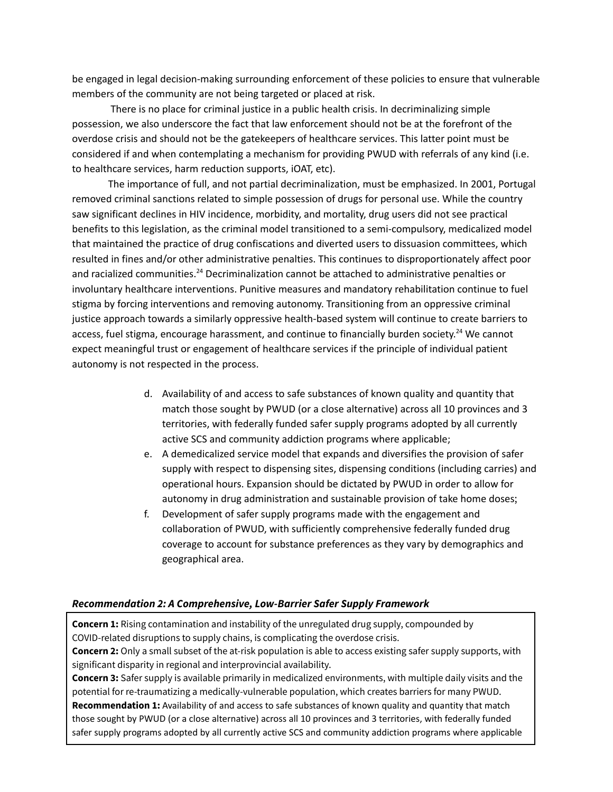be engaged in legal decision-making surrounding enforcement of these policies to ensure that vulnerable members of the community are not being targeted or placed at risk.

There is no place for criminal justice in a public health crisis. In decriminalizing simple possession, we also underscore the fact that law enforcement should not be at the forefront of the overdose crisis and should not be the gatekeepers of healthcare services. This latter point must be considered if and when contemplating a mechanism for providing PWUD with referrals of any kind (i.e. to healthcare services, harm reduction supports, iOAT, etc).

The importance of full, and not partial decriminalization, must be emphasized. In 2001, Portugal removed criminal sanctions related to simple possession of drugs for personal use. While the country saw significant declines in HIV incidence, morbidity, and mortality, drug users did not see practical benefits to this legislation, as the criminal model transitioned to a semi-compulsory, medicalized model that maintained the practice of drug confiscations and diverted users to dissuasion committees, which resulted in fines and/or other administrative penalties. This continues to disproportionately affect poor and racialized communities.<sup>[24](https://www.zotero.org/google-docs/?et4T2y)</sup> Decriminalization cannot be attached to administrative penalties or involuntary healthcare interventions. Punitive measures and mandatory rehabilitation continue to fuel stigma by forcing interventions and removing autonomy. Transitioning from an oppressive criminal justice approach towards a similarly oppressive health-based system will continue to create barriers to access, fuel stigma, encourage harassment, and continue to financially burden society.<sup>[24](https://www.zotero.org/google-docs/?HXKrmx)</sup> We cannot expect meaningful trust or engagement of healthcare services if the principle of individual patient autonomy is not respected in the process.

- d. Availability of and access to safe substances of known quality and quantity that match those sought by PWUD (or a close alternative) across all 10 provinces and 3 territories, with federally funded safer supply programs adopted by all currently active SCS and community addiction programs where applicable;
- e. A demedicalized service model that expands and diversifies the provision of safer supply with respect to dispensing sites, dispensing conditions (including carries) and operational hours. Expansion should be dictated by PWUD in order to allow for autonomy in drug administration and sustainable provision of take home doses;
- f. Development of safer supply programs made with the engagement and collaboration of PWUD, with sufficiently comprehensive federally funded drug coverage to account for substance preferences as they vary by demographics and geographical area.

#### *Recommendation 2: A Comprehensive, Low-Barrier Safer Supply Framework*

**Concern 1:** Rising contamination and instability of the unregulated drug supply, compounded by COVID-related disruptions to supply chains, is complicating the overdose crisis. **Concern 2:** Only a small subset of the at-risk population is able to access existing safer supply supports, with

significant disparity in regional and interprovincial availability. **Concern 3:** Safer supply is available primarily in medicalized environments, with multiple daily visits and the

potential for re-traumatizing a medically-vulnerable population, which creates barriers for many PWUD. **Recommendation 1:** Availability of and access to safe substances of known quality and quantity that match those sought by PWUD (or a close alternative) across all 10 provinces and 3 territories, with federally funded safer supply programs adopted by all currently active SCS and community addiction programs where applicable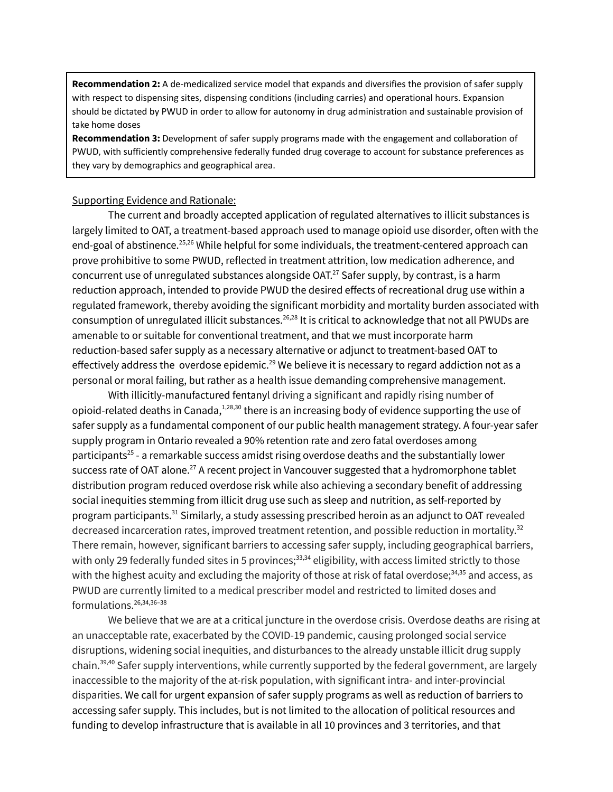**Recommendation 2:** A de-medicalized service model that expands and diversifies the provision of safer supply with respect to dispensing sites, dispensing conditions (including carries) and operational hours. Expansion should be dictated by PWUD in order to allow for autonomy in drug administration and sustainable provision of take home doses

**Recommendation 3:** Development of safer supply programs made with the engagement and collaboration of PWUD, with sufficiently comprehensive federally funded drug coverage to account for substance preferences as they vary by demographics and geographical area.

#### Supporting Evidence and Rationale:

The current and broadly accepted application of regulated alternatives to illicit substances is largely limited to OAT, a treatment-based approach used to manage opioid use disorder, often with the end-goal of abstinence.<sup>[25,26](https://www.zotero.org/google-docs/?zH5UAN)</sup> While helpful for some individuals, the treatment-centered approach can prove prohibitive to some PWUD, reflected in treatment attrition, low medication adherence, and concurrent use of unregulated substances alongside OAT. [27](https://www.zotero.org/google-docs/?cDxw9W) Safer supply, by contrast, is a harm reduction approach, intended to provide PWUD the desired effects of recreational drug use within a regulated framework, thereby avoiding the significant morbidity and mortality burden associated with consumption of unregulated illicit substances.<sup>[26,28](https://www.zotero.org/google-docs/?BcbGmv)</sup> It is critical to acknowledge that not all PWUDs are amenable to or suitable for conventional treatment, and that we must incorporate harm reduction-based safer supply as a necessary alternative or adjunct to treatment-based OAT to effectively address the overdose epidemic.<sup>[29](https://www.zotero.org/google-docs/?L7uCVP)</sup> We believe it is necessary to regard addiction not as a personal or moral failing, but rather as a health issue demanding comprehensive management.

With illicitly-manufactured fentanyl driving a significant and rapidly rising number of opioid-related deaths in Canada, [1,28,30](https://www.zotero.org/google-docs/?Up9Civ) there is an increasing body of evidence supporting the use of safer supply as a fundamental component of our public health management strategy. A four-year safer supply program in Ontario revealed a 90% retention rate and zero fatal overdoses among participants<sup>[25](https://www.zotero.org/google-docs/?MYHjwS)</sup> - a remarkable success amidst rising overdose deaths and the substantially lower success rate of OAT alone. $^{27}$  $^{27}$  $^{27}$  A recent project in Vancouver suggested that a hydromorphone tablet distribution program reduced overdose risk while also achieving a secondary benefit of addressing social inequities stemming from illicit drug use such as sleep and nutrition, as self-reported by program participants.<sup>[31](https://www.zotero.org/google-docs/?pd7G6a)</sup> Similarly, a study assessing prescribed heroin as an adjunct to OAT revealed decreased incarceration rates, improved treatment retention, and possible reduction in mortality.<sup>[32](https://www.zotero.org/google-docs/?QFClaL)</sup> There remain, however, significant barriers to accessing safer supply, including geographical barriers, with only 29 federally funded sites in 5 provinces;<sup>[33,34](https://www.zotero.org/google-docs/?gCQv7I)</sup> eligibility, with access limited strictly to those with the highest acuity and excluding the majority of those at risk of fatal overdose; [34,35](https://www.zotero.org/google-docs/?GvizFP) and access, as PWUD are currently limited to a medical prescriber model and restricted to limited doses and formulations. [26,34,36–38](https://www.zotero.org/google-docs/?OlbL4K)

We believe that we are at a critical juncture in the overdose crisis. Overdose deaths are rising at an unacceptable rate, exacerbated by the COVID-19 pandemic, causing prolonged social service disruptions, widening social inequities, and disturbances to the already unstable illicit drug supply chain. [39,40](https://www.zotero.org/google-docs/?zgqtWP) Safer supply interventions, while currently supported by the federal government, are largely inaccessible to the majority of the at-risk population, with significant intra- and inter-provincial disparities. We call for urgent expansion of safer supply programs as well as reduction of barriers to accessing safer supply. This includes, but is not limited to the allocation of political resources and funding to develop infrastructure that is available in all 10 provinces and 3 territories, and that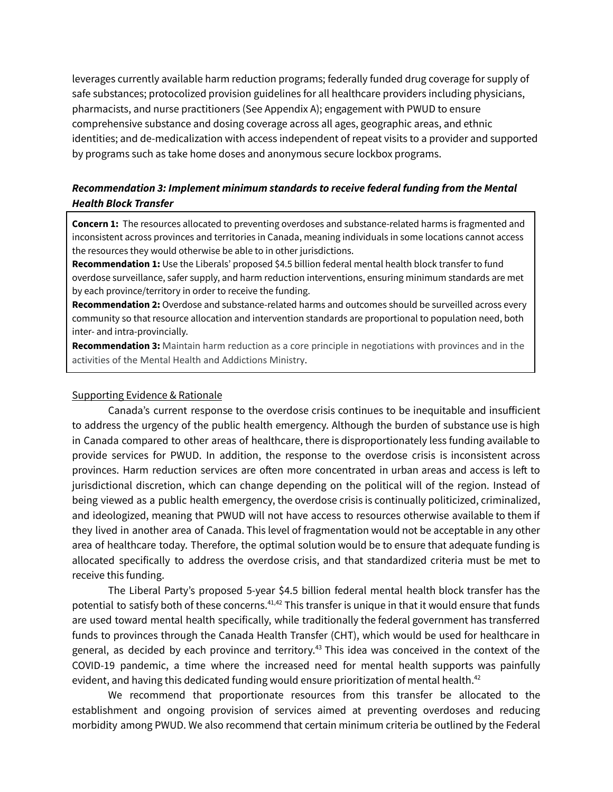leverages currently available harm reduction programs; federally funded drug coverage for supply of safe substances; protocolized provision guidelines for all healthcare providers including physicians, pharmacists, and nurse practitioners (See Appendix A); engagement with PWUD to ensure comprehensive substance and dosing coverage across all ages, geographic areas, and ethnic identities; and de-medicalization with access independent of repeat visits to a provider and supported by programs such as take home doses and anonymous secure lockbox programs.

### *Recommendation 3: Implement minimum standards to receive federal funding from the Mental Health Block Transfer*

**Concern 1:** The resources allocated to preventing overdoses and substance-related harms is fragmented and inconsistent across provinces and territories in Canada, meaning individuals in some locations cannot access the resources they would otherwise be able to in other jurisdictions.

**Recommendation 1:** Use the Liberals' proposed \$4.5 billion federal mental health block transfer to fund overdose surveillance, safer supply, and harm reduction interventions, ensuring minimum standards are met by each province/territory in order to receive the funding.

**Recommendation 2:** Overdose and substance-related harms and outcomes should be surveilled across every community so that resource allocation and intervention standards are proportional to population need, both inter- and intra-provincially.

**Recommendation 3:** Maintain harm reduction as a core principle in negotiations with provinces and in the activities of the Mental Health and Addictions Ministry.

#### Supporting Evidence & Rationale

Canada's current response to the overdose crisis continues to be inequitable and insufficient to address the urgency of the public health emergency. Although the burden of substance use is high in Canada compared to other areas of healthcare, there is disproportionately less funding available to provide services for PWUD. In addition, the response to the overdose crisis is inconsistent across provinces. Harm reduction services are often more concentrated in urban areas and access is left to jurisdictional discretion, which can change depending on the political will of the region. Instead of being viewed as a public health emergency, the overdose crisis is continually politicized, criminalized, and ideologized, meaning that PWUD will not have access to resources otherwise available to them if they lived in another area of Canada. This level of fragmentation would not be acceptable in any other area of healthcare today. Therefore, the optimal solution would be to ensure that adequate funding is allocated specifically to address the overdose crisis, and that standardized criteria must be met to receive this funding.

The Liberal Party's proposed 5-year \$4.5 billion federal mental health block transfer has the potential to satisfy both of these concerns.<sup>[41,42](https://www.zotero.org/google-docs/?BdDqtE)</sup> This transfer is unique in that it would ensure that funds are used toward mental health specifically, while traditionally the federal government has transferred funds to provinces through the Canada Health Transfer (CHT), which would be used for healthcare in general, as decided by each province and territory.<sup>[43](https://www.zotero.org/google-docs/?3jupaV)</sup> This idea was conceived in the context of the COVID-19 pandemic, a time where the increased need for mental health supports was painfully evident, and having this dedicated funding would ensure prioritization of mental health.<sup>[42](https://www.zotero.org/google-docs/?Zj7nAS)</sup>

We recommend that proportionate resources from this transfer be allocated to the establishment and ongoing provision of services aimed at preventing overdoses and reducing morbidity among PWUD. We also recommend that certain minimum criteria be outlined by the Federal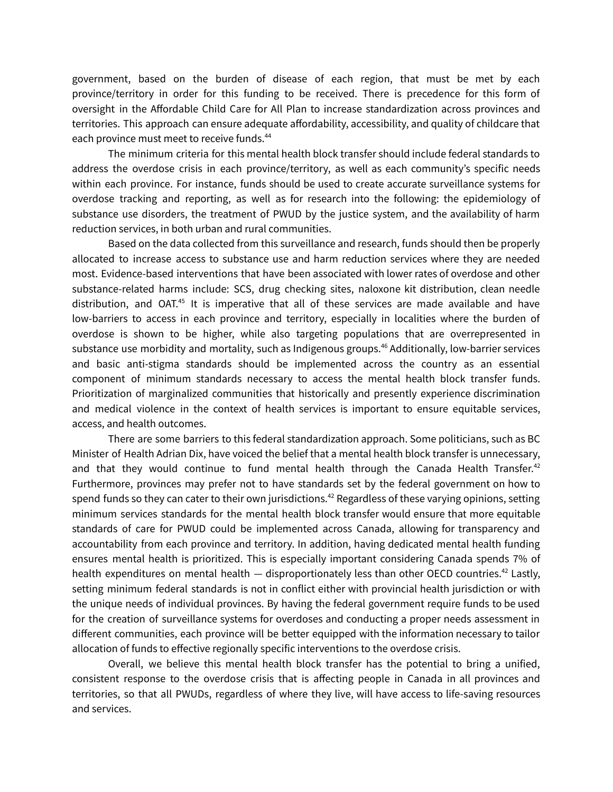government, based on the burden of disease of each region, that must be met by each province/territory in order for this funding to be received. There is precedence for this form of oversight in the Affordable Child Care for All Plan to increase standardization across provinces and territories. This approach can ensure adequate affordability, accessibility, and quality of childcare that each province must meet to receive funds.<sup>[44](https://www.zotero.org/google-docs/?KT1Vbi)</sup>

The minimum criteria for this mental health block transfer should include federal standards to address the overdose crisis in each province/territory, as well as each community's specific needs within each province. For instance, funds should be used to create accurate surveillance systems for overdose tracking and reporting, as well as for research into the following: the epidemiology of substance use disorders, the treatment of PWUD by the justice system, and the availability of harm reduction services, in both urban and rural communities.

Based on the data collected from this surveillance and research, funds should then be properly allocated to increase access to substance use and harm reduction services where they are needed most. Evidence-based interventions that have been associated with lower rates of overdose and other substance-related harms include: SCS, drug checking sites, naloxone kit distribution, clean needle distribution, and OAT.<sup>[45](https://www.zotero.org/google-docs/?kzUXGX)</sup> It is imperative that all of these services are made available and have low-barriers to access in each province and territory, especially in localities where the burden of overdose is shown to be higher, while also targeting populations that are overrepresented in substance use morbidity and mortality, such as Indigenous groups. [46](https://www.zotero.org/google-docs/?35TNca) Additionally, low-barrier services and basic anti-stigma standards should be implemented across the country as an essential component of minimum standards necessary to access the mental health block transfer funds. Prioritization of marginalized communities that historically and presently experience discrimination and medical violence in the context of health services is important to ensure equitable services, access, and health outcomes.

There are some barriers to this federal standardization approach. Some politicians, such as BC Minister of Health Adrian Dix, have voiced the belief that a mental health block transfer is unnecessary, and that they would continue to fund mental health through the Canada Health Transfer.<sup>[42](https://www.zotero.org/google-docs/?Baeozv)</sup> Furthermore, provinces may prefer not to have standards set by the federal government on how to spend funds so they can cater to their own jurisdictions. $^{42}$  $^{42}$  $^{42}$  Regardless of these varying opinions, setting minimum services standards for the mental health block transfer would ensure that more equitable standards of care for PWUD could be implemented across Canada, allowing for transparency and accountability from each province and territory. In addition, having dedicated mental health funding ensures mental health is prioritized. This is especially important considering Canada spends 7% of health expenditures on mental health — disproportionately less than other OECD countries.<sup>[42](https://www.zotero.org/google-docs/?IHP5s9)</sup> Lastly, setting minimum federal standards is not in conflict either with provincial health jurisdiction or with the unique needs of individual provinces. By having the federal government require funds to be used for the creation of surveillance systems for overdoses and conducting a proper needs assessment in different communities, each province will be better equipped with the information necessary to tailor allocation of funds to effective regionally specific interventions to the overdose crisis.

Overall, we believe this mental health block transfer has the potential to bring a unified, consistent response to the overdose crisis that is affecting people in Canada in all provinces and territories, so that all PWUDs, regardless of where they live, will have access to life-saving resources and services.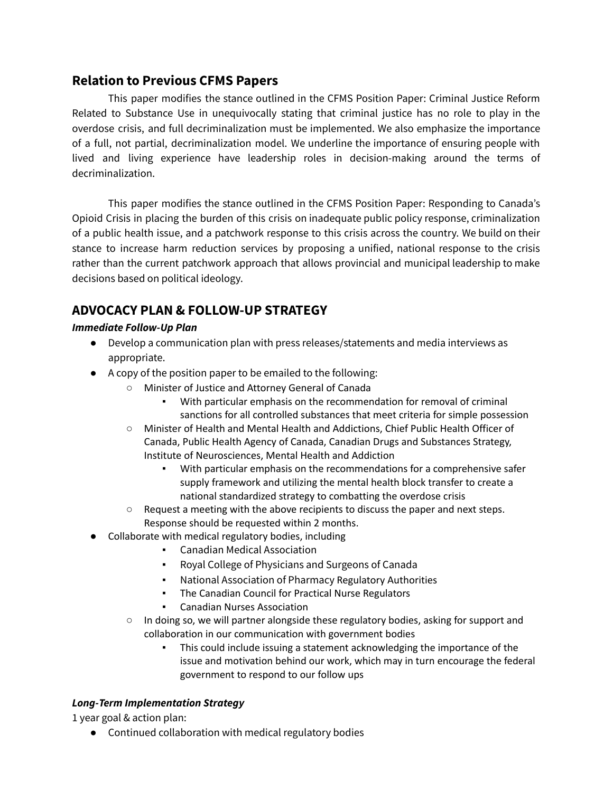## **Relation to Previous CFMS Papers**

This paper modifies the stance outlined in the CFMS Position Paper: Criminal Justice Reform Related to Substance Use in unequivocally stating that criminal justice has no role to play in the overdose crisis, and full decriminalization must be implemented. We also emphasize the importance of a full, not partial, decriminalization model. We underline the importance of ensuring people with lived and living experience have leadership roles in decision-making around the terms of decriminalization.

This paper modifies the stance outlined in the CFMS Position Paper: Responding to Canada's Opioid Crisis in placing the burden of this crisis on inadequate public policy response, criminalization of a public health issue, and a patchwork response to this crisis across the country. We build on their stance to increase harm reduction services by proposing a unified, national response to the crisis rather than the current patchwork approach that allows provincial and municipal leadership to make decisions based on political ideology.

# **ADVOCACY PLAN & FOLLOW-UP STRATEGY**

## *Immediate Follow-Up Plan*

- Develop a communication plan with press releases/statements and media interviews as appropriate.
- A copy of the position paper to be emailed to the following:
	- Minister of Justice and Attorney General of Canada
		- With particular emphasis on the recommendation for removal of criminal sanctions for all controlled substances that meet criteria for simple possession
	- Minister of Health and Mental Health and Addictions, Chief Public Health Officer of Canada, Public Health Agency of Canada, Canadian Drugs and Substances Strategy, Institute of Neurosciences, Mental Health and Addiction
		- With particular emphasis on the recommendations for a comprehensive safer supply framework and utilizing the mental health block transfer to create a national standardized strategy to combatting the overdose crisis
	- $\circ$  Request a meeting with the above recipients to discuss the paper and next steps. Response should be requested within 2 months.
- Collaborate with medical regulatory bodies, including
	- **Canadian Medical Association**
	- Royal College of Physicians and Surgeons of Canada
	- National Association of Pharmacy Regulatory Authorities
	- The Canadian Council for Practical Nurse Regulators
	- **Canadian Nurses Association**
	- In doing so, we will partner alongside these regulatory bodies, asking for support and collaboration in our communication with government bodies
		- This could include issuing a statement acknowledging the importance of the issue and motivation behind our work, which may in turn encourage the federal government to respond to our follow ups

## *Long-Term Implementation Strategy*

1 year goal & action plan:

● Continued collaboration with medical regulatory bodies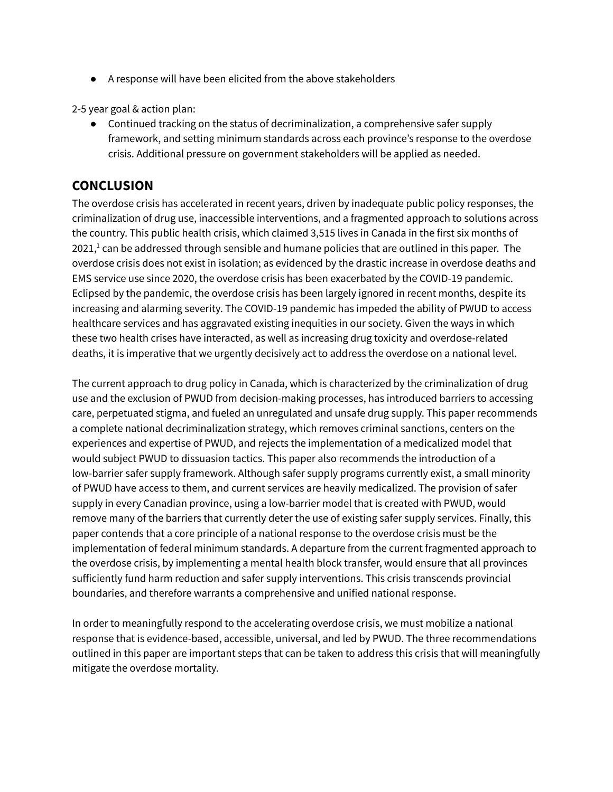● A response will have been elicited from the above stakeholders

2-5 year goal & action plan:

● Continued tracking on the status of decriminalization, a comprehensive safer supply framework, and setting minimum standards across each province's response to the overdose crisis. Additional pressure on government stakeholders will be applied as needed.

## **CONCLUSION**

The overdose crisis has accelerated in recent years, driven by inadequate public policy responses, the criminalization of drug use, inaccessible interventions, and a fragmented approach to solutions across the country. This public health crisis, which claimed 3,515 lives in Canada in the first six months of 202[1](https://www.zotero.org/google-docs/?nh7IHO), $^1$  can be addressed through sensible and humane policies that are outlined in this paper. The overdose crisis does not exist in isolation; as evidenced by the drastic increase in overdose deaths and EMS service use since 2020, the overdose crisis has been exacerbated by the COVID-19 pandemic. Eclipsed by the pandemic, the overdose crisis has been largely ignored in recent months, despite its increasing and alarming severity. The COVID-19 pandemic has impeded the ability of PWUD to access healthcare services and has aggravated existing inequities in our society. Given the ways in which these two health crises have interacted, as well as increasing drug toxicity and overdose-related deaths, it is imperative that we urgently decisively act to address the overdose on a national level.

The current approach to drug policy in Canada, which is characterized by the criminalization of drug use and the exclusion of PWUD from decision-making processes, has introduced barriers to accessing care, perpetuated stigma, and fueled an unregulated and unsafe drug supply. This paper recommends a complete national decriminalization strategy, which removes criminal sanctions, centers on the experiences and expertise of PWUD, and rejects the implementation of a medicalized model that would subject PWUD to dissuasion tactics. This paper also recommends the introduction of a low-barrier safer supply framework. Although safer supply programs currently exist, a small minority of PWUD have access to them, and current services are heavily medicalized. The provision of safer supply in every Canadian province, using a low-barrier model that is created with PWUD, would remove many of the barriers that currently deter the use of existing safer supply services. Finally, this paper contends that a core principle of a national response to the overdose crisis must be the implementation of federal minimum standards. A departure from the current fragmented approach to the overdose crisis, by implementing a mental health block transfer, would ensure that all provinces sufficiently fund harm reduction and safer supply interventions. This crisis transcends provincial boundaries, and therefore warrants a comprehensive and unified national response.

In order to meaningfully respond to the accelerating overdose crisis, we must mobilize a national response that is evidence-based, accessible, universal, and led by PWUD. The three recommendations outlined in this paper are important steps that can be taken to address this crisis that will meaningfully mitigate the overdose mortality.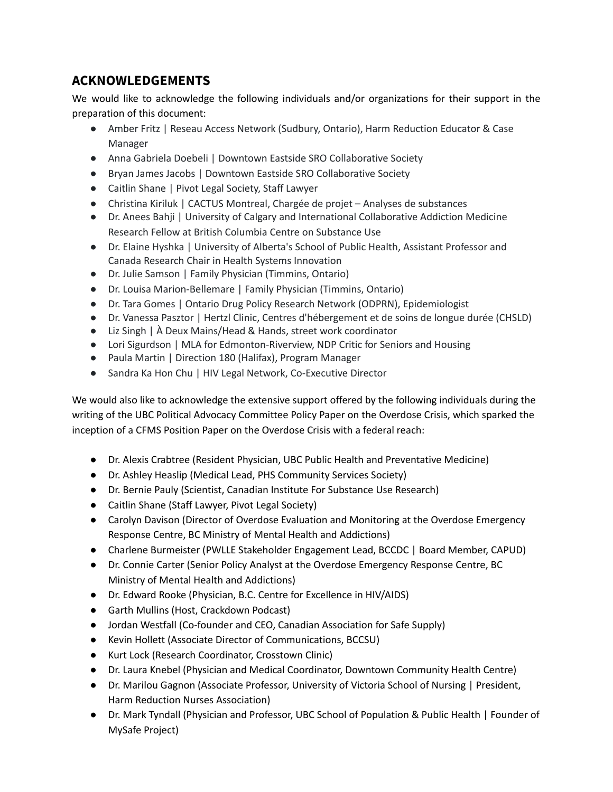# **ACKNOWLEDGEMENTS**

We would like to acknowledge the following individuals and/or organizations for their support in the preparation of this document:

- Amber Fritz | Reseau Access Network (Sudbury, Ontario), Harm Reduction Educator & Case Manager
- Anna Gabriela Doebeli | Downtown Eastside SRO Collaborative Society
- Bryan James Jacobs | Downtown Eastside SRO Collaborative Society
- Caitlin Shane | Pivot Legal Society, Staff Lawyer
- Christina Kiriluk | CACTUS Montreal, Chargée de projet Analyses de substances
- Dr. Anees Bahji | University of Calgary and International Collaborative Addiction Medicine Research Fellow at British Columbia Centre on Substance Use
- Dr. Elaine Hyshka | University of Alberta's School of Public Health, Assistant Professor and Canada Research Chair in Health Systems Innovation
- Dr. Julie Samson | Family Physician (Timmins, Ontario)
- Dr. Louisa Marion-Bellemare | Family Physician (Timmins, Ontario)
- Dr. Tara Gomes | Ontario Drug Policy Research Network (ODPRN), Epidemiologist
- Dr. Vanessa Pasztor | Hertzl Clinic, Centres d'hébergement et de soins de longue durée (CHSLD)
- Liz Singh | À Deux Mains/Head & Hands, street work coordinator
- Lori Sigurdson | MLA for Edmonton-Riverview, NDP Critic for Seniors and Housing
- Paula Martin | Direction 180 (Halifax), Program Manager
- Sandra Ka Hon Chu | HIV Legal Network, Co-Executive Director

We would also like to acknowledge the extensive support offered by the following individuals during the writing of the UBC Political Advocacy Committee Policy Paper on the Overdose Crisis, which sparked the inception of a CFMS Position Paper on the Overdose Crisis with a federal reach:

- Dr. Alexis Crabtree (Resident Physician, UBC Public Health and Preventative Medicine)
- Dr. Ashley Heaslip (Medical Lead, PHS Community Services Society)
- Dr. Bernie Pauly (Scientist, Canadian Institute For Substance Use Research)
- Caitlin Shane (Staff Lawyer, Pivot Legal Society)
- Carolyn Davison (Director of Overdose Evaluation and Monitoring at the Overdose Emergency Response Centre, BC Ministry of Mental Health and Addictions)
- Charlene Burmeister (PWLLE Stakeholder Engagement Lead, BCCDC | Board Member, CAPUD)
- Dr. Connie Carter (Senior Policy Analyst at the Overdose Emergency Response Centre, BC Ministry of Mental Health and Addictions)
- Dr. Edward Rooke (Physician, B.C. Centre for Excellence in HIV/AIDS)
- Garth Mullins (Host, Crackdown Podcast)
- Jordan Westfall (Co-founder and CEO, Canadian Association for Safe Supply)
- Kevin Hollett (Associate Director of Communications, BCCSU)
- Kurt Lock (Research Coordinator, Crosstown Clinic)
- Dr. Laura Knebel (Physician and Medical Coordinator, Downtown Community Health Centre)
- Dr. Marilou Gagnon (Associate Professor, University of Victoria School of Nursing | President, Harm Reduction Nurses Association)
- Dr. Mark Tyndall (Physician and Professor, UBC School of Population & Public Health | Founder of MySafe Project)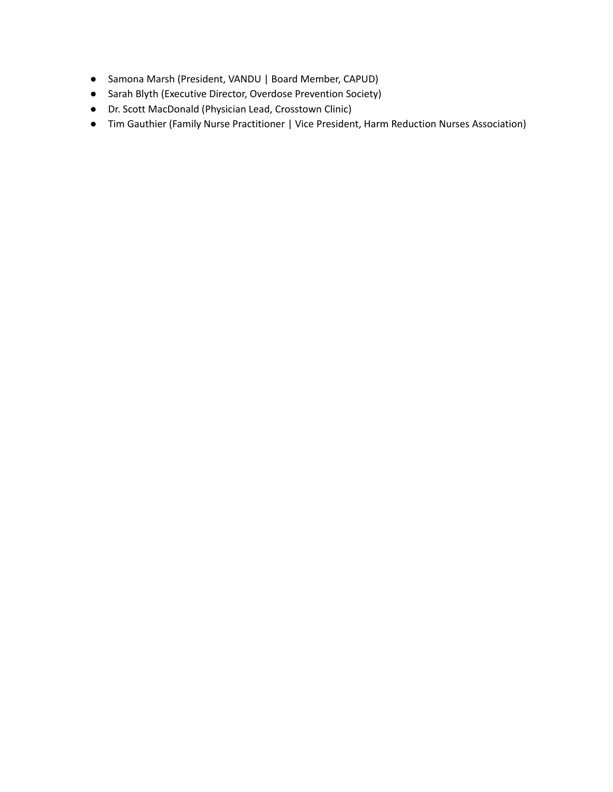- Samona Marsh (President, VANDU | Board Member, CAPUD)
- Sarah Blyth (Executive Director, Overdose Prevention Society)
- Dr. Scott MacDonald (Physician Lead, Crosstown Clinic)
- Tim Gauthier (Family Nurse Practitioner | Vice President, Harm Reduction Nurses Association)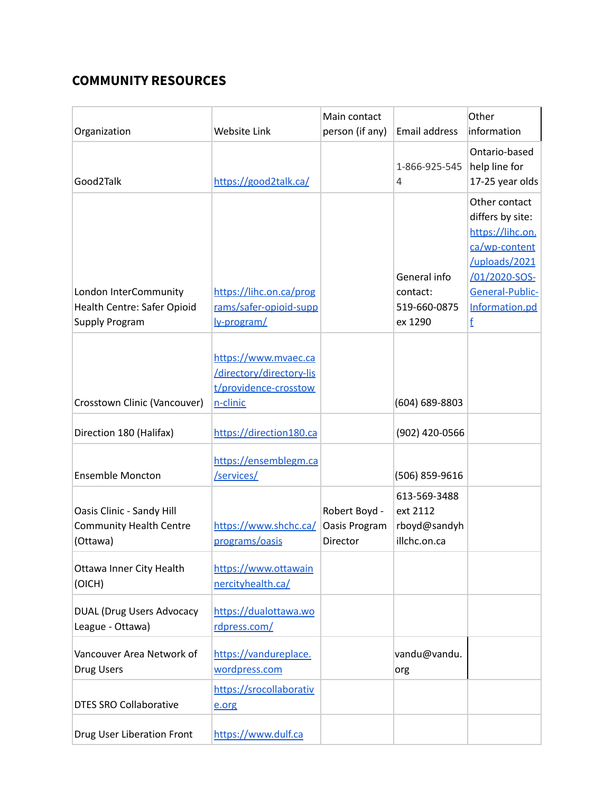# **COMMUNITY RESOURCES**

|                                                      |                                                  | Main contact    |                         | Other<br>information           |
|------------------------------------------------------|--------------------------------------------------|-----------------|-------------------------|--------------------------------|
| Organization                                         | Website Link                                     | person (if any) | Email address           |                                |
|                                                      |                                                  |                 | 1-866-925-545           | Ontario-based<br>help line for |
| Good2Talk                                            | https://good2talk.ca/                            |                 | 4                       | 17-25 year olds                |
|                                                      |                                                  |                 |                         | Other contact                  |
|                                                      |                                                  |                 |                         | differs by site:               |
|                                                      |                                                  |                 |                         | https://lihc.on.               |
|                                                      |                                                  |                 |                         | ca/wp-content                  |
|                                                      |                                                  |                 |                         | /uploads/2021                  |
|                                                      |                                                  |                 | General info            | /01/2020-SOS-                  |
| London InterCommunity                                | https://lihc.on.ca/prog                          |                 | contact:                | General-Public-                |
| Health Centre: Safer Opioid<br><b>Supply Program</b> | rams/safer-opioid-supp                           |                 | 519-660-0875<br>ex 1290 | Information.pd                 |
|                                                      | ly-program/                                      |                 |                         | f                              |
|                                                      |                                                  |                 |                         |                                |
|                                                      | https://www.mvaec.ca<br>/directory/directory-lis |                 |                         |                                |
|                                                      | t/providence-crosstow                            |                 |                         |                                |
| Crosstown Clinic (Vancouver)                         | n-clinic                                         |                 | (604) 689-8803          |                                |
|                                                      |                                                  |                 |                         |                                |
| Direction 180 (Halifax)                              | https://direction180.ca                          |                 | (902) 420-0566          |                                |
|                                                      | https://ensemblegm.ca                            |                 |                         |                                |
| <b>Ensemble Moncton</b>                              | /services/                                       |                 | (506) 859-9616          |                                |
|                                                      |                                                  |                 | 613-569-3488            |                                |
| Oasis Clinic - Sandy Hill                            |                                                  | Robert Boyd -   | ext 2112                |                                |
| <b>Community Health Centre</b>                       | https://www.shchc.ca/                            | Oasis Program   | rboyd@sandyh            |                                |
| (Ottawa)                                             | programs/oasis                                   | Director        | illchc.on.ca            |                                |
| Ottawa Inner City Health                             | https://www.ottawain                             |                 |                         |                                |
| (OICH)                                               | nercityhealth.ca/                                |                 |                         |                                |
|                                                      |                                                  |                 |                         |                                |
| <b>DUAL (Drug Users Advocacy</b>                     | https://dualottawa.wo                            |                 |                         |                                |
| League - Ottawa)                                     | rdpress.com/                                     |                 |                         |                                |
| Vancouver Area Network of                            | https://vandureplace.                            |                 | vandu@vandu.            |                                |
| Drug Users                                           | wordpress.com                                    |                 | org                     |                                |
|                                                      | https://srocollaborativ                          |                 |                         |                                |
| <b>DTES SRO Collaborative</b>                        | e.org                                            |                 |                         |                                |
|                                                      |                                                  |                 |                         |                                |
| Drug User Liberation Front                           | https://www.dulf.ca                              |                 |                         |                                |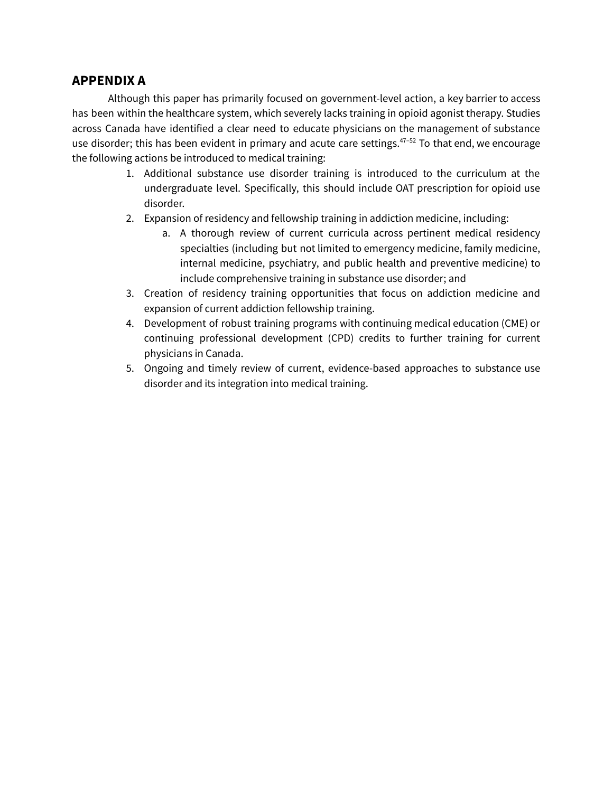## **APPENDIX A**

Although this paper has primarily focused on government-level action, a key barrier to access has been within the healthcare system, which severely lacks training in opioid agonist therapy. Studies across Canada have identified a clear need to educate physicians on the management of substance use disorder; this has been evident in primary and acute care settings.<sup>47-52</sup> To that end, we encourage the following actions be introduced to medical training:

- 1. Additional substance use disorder training is introduced to the curriculum at the undergraduate level. Specifically, this should include OAT prescription for opioid use disorder.
- 2. Expansion of residency and fellowship training in addiction medicine, including:
	- a. A thorough review of current curricula across pertinent medical residency specialties (including but not limited to emergency medicine, family medicine, internal medicine, psychiatry, and public health and preventive medicine) to include comprehensive training in substance use disorder; and
- 3. Creation of residency training opportunities that focus on addiction medicine and expansion of current addiction fellowship training.
- 4. Development of robust training programs with continuing medical education (CME) or continuing professional development (CPD) credits to further training for current physicians in Canada.
- 5. Ongoing and timely review of current, evidence-based approaches to substance use disorder and its integration into medical training.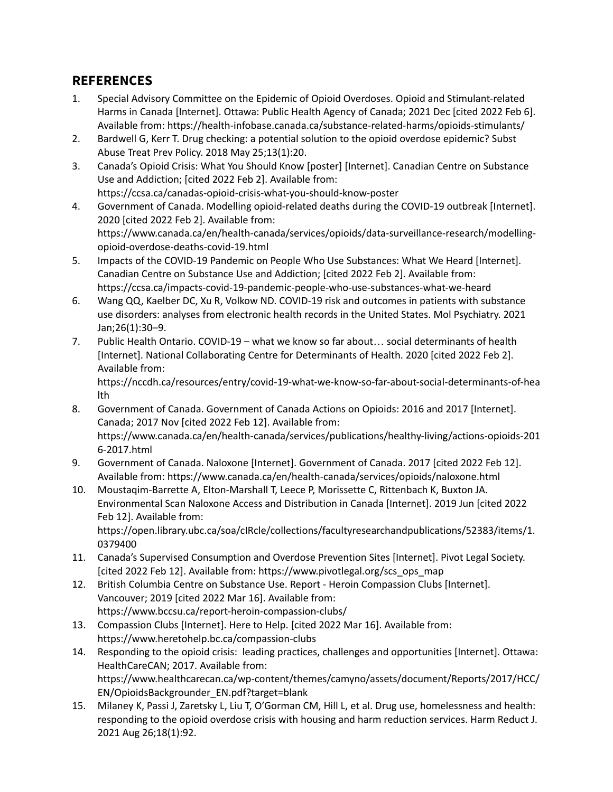# **REFERENCES**

- 1. Special Advisory Committee on the Epidemic of Opioid Overdoses. Opioid and [Stimulant-related](https://www.zotero.org/google-docs/?1Z9aK6) Harms in Canada [\[Internet\].](https://www.zotero.org/google-docs/?1Z9aK6) Ottawa: Public Health Agency of Canada; 2021 Dec [cited 2022 Feb 6]. Available from: [https://health-infobase.canada.ca/substance-related-harms/opioids-stimulants/](https://www.zotero.org/google-docs/?1Z9aK6)
- 2. Bardwell G, Kerr T. Drug checking: a potential solution to the opioid overdose [epidemic?](https://www.zotero.org/google-docs/?1Z9aK6) Subst Abuse Treat Prev Policy. 2018 May [25;13\(1\):20.](https://www.zotero.org/google-docs/?1Z9aK6)
- 3. Canada's Opioid Crisis: What You Should Know [poster] [\[Internet\].](https://www.zotero.org/google-docs/?1Z9aK6) Canadian Centre on Substance Use and [Addiction;](https://www.zotero.org/google-docs/?1Z9aK6) [cited 2022 Feb 2]. Available from: [https://ccsa.ca/canadas-opioid-crisis-what-you-should-know-poster](https://www.zotero.org/google-docs/?1Z9aK6)
- 4. Government of Canada. Modelling [opioid-related](https://www.zotero.org/google-docs/?1Z9aK6) deaths during the COVID-19 outbreak [Internet]. 2020 [cited 2022 Feb 2]. [Available](https://www.zotero.org/google-docs/?1Z9aK6) from: [https://www.canada.ca/en/health-canada/services/opioids/data-surveillance-research/modelling](https://www.zotero.org/google-docs/?1Z9aK6)[opioid-overdose-deaths-covid-19.html](https://www.zotero.org/google-docs/?1Z9aK6)
- 5. Impacts of the COVID-19 Pandemic on People Who Use [Substances:](https://www.zotero.org/google-docs/?1Z9aK6) What We Heard [Internet]. Canadian Centre on Substance Use and [Addiction;](https://www.zotero.org/google-docs/?1Z9aK6) [cited 2022 Feb 2]. Available from: [https://ccsa.ca/impacts-covid-19-pandemic-people-who-use-substances-what-we-heard](https://www.zotero.org/google-docs/?1Z9aK6)
- 6. Wang QQ, Kaelber DC, Xu R, Volkow ND. COVID-19 risk and outcomes in patients with [substance](https://www.zotero.org/google-docs/?1Z9aK6) use disorders: analyses from electronic health records in the United States. Mol [Psychiatry.](https://www.zotero.org/google-docs/?1Z9aK6) 2021 [Jan;26\(1\):30–9.](https://www.zotero.org/google-docs/?1Z9aK6)
- 7. Public Health Ontario. COVID-19 what we know so far about… social [determinants](https://www.zotero.org/google-docs/?1Z9aK6) of health [Internet]. National Collaborating Centre for [Determinants](https://www.zotero.org/google-docs/?1Z9aK6) of Health. 2020 [cited 2022 Feb 2]. [Available](https://www.zotero.org/google-docs/?1Z9aK6) from:

[https://nccdh.ca/resources/entry/covid-19-what-we-know-so-far-about-social-determinants-of-hea](https://www.zotero.org/google-docs/?1Z9aK6) [lth](https://www.zotero.org/google-docs/?1Z9aK6)

- 8. [Government](https://www.zotero.org/google-docs/?1Z9aK6) of Canada. Government of Canada Actions on Opioids: 2016 and 2017 [Internet]. Canada; 2017 Nov [cited 2022 Feb 12]. [Available](https://www.zotero.org/google-docs/?1Z9aK6) from: [https://www.canada.ca/en/health-canada/services/publications/healthy-living/actions-opioids-201](https://www.zotero.org/google-docs/?1Z9aK6) [6-2017.html](https://www.zotero.org/google-docs/?1Z9aK6)
- 9. Government of Canada. Naloxone [Internet]. [Government](https://www.zotero.org/google-docs/?1Z9aK6) of Canada. 2017 [cited 2022 Feb 12]. Available from: [https://www.canada.ca/en/health-canada/services/opioids/naloxone.html](https://www.zotero.org/google-docs/?1Z9aK6)
- 10. [Moustaqim-Barrette](https://www.zotero.org/google-docs/?1Z9aK6) A, Elton-Marshall T, Leece P, Morissette C, Rittenbach K, Buxton JA. [Environmental](https://www.zotero.org/google-docs/?1Z9aK6) Scan Naloxone Access and Distribution in Canada [Internet]. 2019 Jun [cited 2022 Feb 12]. [Available](https://www.zotero.org/google-docs/?1Z9aK6) from: [https://open.library.ubc.ca/soa/cIRcle/collections/facultyresearchandpublications/52383/items/1.](https://www.zotero.org/google-docs/?1Z9aK6) [0379400](https://www.zotero.org/google-docs/?1Z9aK6)
- 11. Canada's Supervised [Consumption](https://www.zotero.org/google-docs/?1Z9aK6) and Overdose Prevention Sites [Internet]. Pivot Legal Society. [cited 2022 Feb 12]. Available from: [https://www.pivotlegal.org/scs\\_ops\\_map](https://www.zotero.org/google-docs/?1Z9aK6)
- 12. British Columbia Centre on Substance Use. Report Heroin [Compassion](https://www.zotero.org/google-docs/?1Z9aK6) Clubs [Internet]. [Vancouver;](https://www.zotero.org/google-docs/?1Z9aK6) 2019 [cited 2022 Mar 16]. Available from: [https://www.bccsu.ca/report-heroin-compassion-clubs/](https://www.zotero.org/google-docs/?1Z9aK6)
- 13. [Compassion](https://www.zotero.org/google-docs/?1Z9aK6) Clubs [Internet]. Here to Help. [cited 2022 Mar 16]. Available from: [https://www.heretohelp.bc.ca/compassion-clubs](https://www.zotero.org/google-docs/?1Z9aK6)
- 14. Responding to the opioid crisis: leading practices, challenges and [opportunities](https://www.zotero.org/google-docs/?1Z9aK6) [Internet]. Ottawa: [HealthCareCAN;](https://www.zotero.org/google-docs/?1Z9aK6) 2017. Available from: [https://www.healthcarecan.ca/wp-content/themes/camyno/assets/document/Reports/2017/HCC/](https://www.zotero.org/google-docs/?1Z9aK6) [EN/OpioidsBackgrounder\\_EN.pdf?target=blank](https://www.zotero.org/google-docs/?1Z9aK6)
- 15. Milaney K, Passi J, Zaretsky L, Liu T, O'Gorman CM, Hill L, et al. Drug use, [homelessness](https://www.zotero.org/google-docs/?1Z9aK6) and health: [responding](https://www.zotero.org/google-docs/?1Z9aK6) to the opioid overdose crisis with housing and harm reduction services. Harm Reduct J. 2021 Aug [26;18\(1\):92.](https://www.zotero.org/google-docs/?1Z9aK6)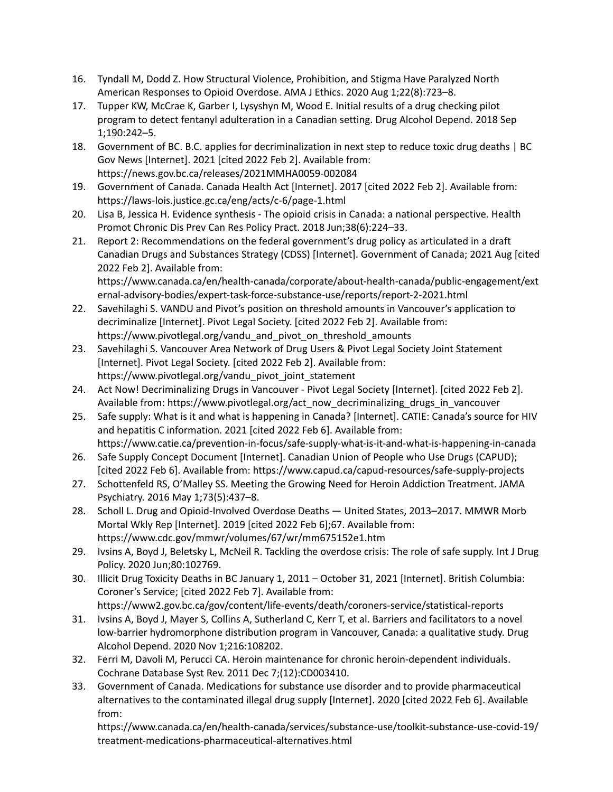- 16. Tyndall M, Dodd Z. How Structural Violence, [Prohibition,](https://www.zotero.org/google-docs/?1Z9aK6) and Stigma Have Paralyzed North American Responses to Opioid Overdose. AMA J Ethics. 2020 Aug [1;22\(8\):723–8.](https://www.zotero.org/google-docs/?1Z9aK6)
- 17. Tupper KW, McCrae K, Garber I, Lysyshyn M, Wood E. Initial results of a drug [checking](https://www.zotero.org/google-docs/?1Z9aK6) pilot program to detect fentanyl [adulteration](https://www.zotero.org/google-docs/?1Z9aK6) in a Canadian setting. Drug Alcohol Depend. 2018 Sep [1;190:242–5.](https://www.zotero.org/google-docs/?1Z9aK6)
- 18. Government of BC. B.C. applies for [decriminalization](https://www.zotero.org/google-docs/?1Z9aK6) in next step to reduce toxic drug deaths | BC Gov News [\[Internet\].](https://www.zotero.org/google-docs/?1Z9aK6) 2021 [cited 2022 Feb 2]. Available from: [https://news.gov.bc.ca/releases/2021MMHA0059-002084](https://www.zotero.org/google-docs/?1Z9aK6)
- 19. [Government](https://www.zotero.org/google-docs/?1Z9aK6) of Canada. Canada Health Act [Internet]. 2017 [cited 2022 Feb 2]. Available from: [https://laws-lois.justice.gc.ca/eng/acts/c-6/page-1.html](https://www.zotero.org/google-docs/?1Z9aK6)
- 20. Lisa B, Jessica H. Evidence synthesis The opioid crisis in Canada: a national [perspective.](https://www.zotero.org/google-docs/?1Z9aK6) Health Promot Chronic Dis Prev Can Res Policy Pract. 2018 [Jun;38\(6\):224–33.](https://www.zotero.org/google-docs/?1Z9aK6)
- 21. Report 2: [Recommendations](https://www.zotero.org/google-docs/?1Z9aK6) on the federal government's drug policy as articulated in a draft Canadian Drugs and Substances Strategy (CDSS) [Internet]. [Government](https://www.zotero.org/google-docs/?1Z9aK6) of Canada; 2021 Aug [cited 2022 Feb 2]. [Available](https://www.zotero.org/google-docs/?1Z9aK6) from: [https://www.canada.ca/en/health-canada/corporate/about-health-canada/public-engagement/ext](https://www.zotero.org/google-docs/?1Z9aK6)

[ernal-advisory-bodies/expert-task-force-substance-use/reports/report-2-2021.html](https://www.zotero.org/google-docs/?1Z9aK6)

- 22. Savehilaghi S. VANDU and Pivot's position on threshold amounts in [Vancouver's](https://www.zotero.org/google-docs/?1Z9aK6) application to [decriminalize](https://www.zotero.org/google-docs/?1Z9aK6) [Internet]. Pivot Legal Society. [cited 2022 Feb 2]. Available from: [https://www.pivotlegal.org/vandu\\_and\\_pivot\\_on\\_threshold\\_amounts](https://www.zotero.org/google-docs/?1Z9aK6)
- 23. [Savehilaghi](https://www.zotero.org/google-docs/?1Z9aK6) S. Vancouver Area Network of Drug Users & Pivot Legal Society Joint Statement [\[Internet\].](https://www.zotero.org/google-docs/?1Z9aK6) Pivot Legal Society. [cited 2022 Feb 2]. Available from: [https://www.pivotlegal.org/vandu\\_pivot\\_joint\\_statement](https://www.zotero.org/google-docs/?1Z9aK6)
- 24. Act Now! [Decriminalizing](https://www.zotero.org/google-docs/?1Z9aK6) Drugs in Vancouver Pivot Legal Society [Internet]. [cited 2022 Feb 2]. Available from: [https://www.pivotlegal.org/act\\_now\\_decriminalizing\\_drugs\\_in\\_vancouver](https://www.zotero.org/google-docs/?1Z9aK6)
- 25. Safe supply: What is it and what is [happening](https://www.zotero.org/google-docs/?1Z9aK6) in Canada? [Internet]. CATIE: Canada's source for HIV and hepatitis C [information.](https://www.zotero.org/google-docs/?1Z9aK6) 2021 [cited 2022 Feb 6]. Available from: [https://www.catie.ca/prevention-in-focus/safe-supply-what-is-it-and-what-is-happening-in-canada](https://www.zotero.org/google-docs/?1Z9aK6)
- 26. Safe Supply Concept [Document](https://www.zotero.org/google-docs/?1Z9aK6) [Internet]. Canadian Union of People who Use Drugs (CAPUD); [cited 2022 Feb 6]. Available from: [https://www.capud.ca/capud-resources/safe-supply-projects](https://www.zotero.org/google-docs/?1Z9aK6)
- 27. [Schottenfeld](https://www.zotero.org/google-docs/?1Z9aK6) RS, O'Malley SS. Meeting the Growing Need for Heroin Addiction Treatment. JAMA Psychiatry. 2016 May [1;73\(5\):437–8.](https://www.zotero.org/google-docs/?1Z9aK6)
- 28. Scholl L. Drug and [Opioid-Involved](https://www.zotero.org/google-docs/?1Z9aK6) Overdose Deaths United States, 2013–2017. MMWR Morb Mortal Wkly Rep [\[Internet\].](https://www.zotero.org/google-docs/?1Z9aK6) 2019 [cited 2022 Feb 6];67. Available from: [https://www.cdc.gov/mmwr/volumes/67/wr/mm675152e1.htm](https://www.zotero.org/google-docs/?1Z9aK6)
- 29. Ivsins A, Boyd J, Beletsky L, McNeil R. Tackling the [overdose](https://www.zotero.org/google-docs/?1Z9aK6) crisis: The role of safe supply. Int J Drug Policy. 2020 [Jun;80:102769.](https://www.zotero.org/google-docs/?1Z9aK6)
- 30. Illicit Drug Toxicity Deaths in BC January 1, 2011 October 31, 2021 [\[Internet\].](https://www.zotero.org/google-docs/?1Z9aK6) British Columbia: [Coroner's](https://www.zotero.org/google-docs/?1Z9aK6) Service; [cited 2022 Feb 7]. Available from: [https://www2.gov.bc.ca/gov/content/life-events/death/coroners-service/statistical-reports](https://www.zotero.org/google-docs/?1Z9aK6)
- 31. Ivsins A, Boyd J, Mayer S, Collins A, [Sutherland](https://www.zotero.org/google-docs/?1Z9aK6) C, Kerr T, et al. Barriers and facilitators to a novel low-barrier [hydromorphone](https://www.zotero.org/google-docs/?1Z9aK6) distribution program in Vancouver, Canada: a qualitative study. Drug Alcohol Depend. 2020 Nov [1;216:108202.](https://www.zotero.org/google-docs/?1Z9aK6)
- 32. Ferri M, Davoli M, Perucci CA. Heroin maintenance for chronic [heroin-dependent](https://www.zotero.org/google-docs/?1Z9aK6) individuals. Cochrane Database Syst Rev. 2011 Dec [7;\(12\):CD003410.](https://www.zotero.org/google-docs/?1Z9aK6)
- 33. Government of Canada. Medications for substance use disorder and to provide [pharmaceutical](https://www.zotero.org/google-docs/?1Z9aK6) alternatives to the [contaminated](https://www.zotero.org/google-docs/?1Z9aK6) illegal drug supply [Internet]. 2020 [cited 2022 Feb 6]. Available [from:](https://www.zotero.org/google-docs/?1Z9aK6)

[https://www.canada.ca/en/health-canada/services/substance-use/toolkit-substance-use-covid-19/](https://www.zotero.org/google-docs/?1Z9aK6) [treatment-medications-pharmaceutical-alternatives.html](https://www.zotero.org/google-docs/?1Z9aK6)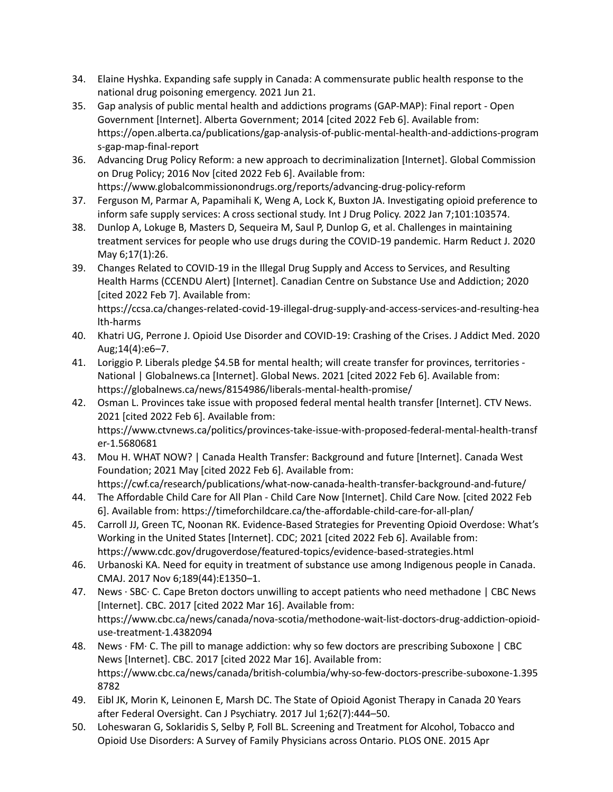- 34. Elaine Hyshka. Expanding safe supply in Canada: A [commensurate](https://www.zotero.org/google-docs/?1Z9aK6) public health response to the national drug poisoning [emergency.](https://www.zotero.org/google-docs/?1Z9aK6) 2021 Jun 21.
- 35. Gap analysis of public mental health and addictions programs [\(GAP-MAP\):](https://www.zotero.org/google-docs/?1Z9aK6) Final report Open Government [Internet]. Alberta [Government;](https://www.zotero.org/google-docs/?1Z9aK6) 2014 [cited 2022 Feb 6]. Available from: [https://open.alberta.ca/publications/gap-analysis-of-public-mental-health-and-addictions-program](https://www.zotero.org/google-docs/?1Z9aK6) [s-gap-map-final-report](https://www.zotero.org/google-docs/?1Z9aK6)
- 36. Advancing Drug Policy Reform: a new approach to [decriminalization](https://www.zotero.org/google-docs/?1Z9aK6) [Internet]. Global Commission on Drug Policy; 2016 Nov [cited 2022 Feb 6]. [Available](https://www.zotero.org/google-docs/?1Z9aK6) from: [https://www.globalcommissionondrugs.org/reports/advancing-drug-policy-reform](https://www.zotero.org/google-docs/?1Z9aK6)
- 37. Ferguson M, Parmar A, Papamihali K, Weng A, Lock K, Buxton JA. [Investigating](https://www.zotero.org/google-docs/?1Z9aK6) opioid preference to inform safe supply services: A cross sectional study. Int J Drug Policy. 2022 Jan [7;101:103574.](https://www.zotero.org/google-docs/?1Z9aK6)
- 38. Dunlop A, Lokuge B, Masters D, Sequeira M, Saul P, Dunlop G, et al. Challenges in [maintaining](https://www.zotero.org/google-docs/?1Z9aK6) treatment services for people who use drugs during the COVID-19 [pandemic.](https://www.zotero.org/google-docs/?1Z9aK6) Harm Reduct J. 2020 May [6;17\(1\):26.](https://www.zotero.org/google-docs/?1Z9aK6)
- 39. Changes Related to [COVID-19](https://www.zotero.org/google-docs/?1Z9aK6) in the Illegal Drug Supply and Access to Services, and Resulting Health Harms (CCENDU Alert) [Internet]. Canadian Centre on Substance Use and [Addiction;](https://www.zotero.org/google-docs/?1Z9aK6) 2020 [cited 2022 Feb 7]. [Available](https://www.zotero.org/google-docs/?1Z9aK6) from:

[https://ccsa.ca/changes-related-covid-19-illegal-drug-supply-and-access-services-and-resulting-hea](https://www.zotero.org/google-docs/?1Z9aK6) [lth-harms](https://www.zotero.org/google-docs/?1Z9aK6)

- 40. Khatri UG, Perrone J. Opioid Use Disorder and [COVID-19:](https://www.zotero.org/google-docs/?1Z9aK6) Crashing of the Crises. J Addict Med. 2020 [Aug;14\(4\):e6–7.](https://www.zotero.org/google-docs/?1Z9aK6)
- 41. Loriggio P. Liberals pledge \$4.5B for mental health; will create transfer for [provinces,](https://www.zotero.org/google-docs/?1Z9aK6) territories National | [Globalnews.ca](https://www.zotero.org/google-docs/?1Z9aK6) [Internet]. Global News. 2021 [cited 2022 Feb 6]. Available from: [https://globalnews.ca/news/8154986/liberals-mental-health-promise/](https://www.zotero.org/google-docs/?1Z9aK6)
- 42. Osman L. Provinces take issue with proposed federal mental health transfer [\[Internet\].](https://www.zotero.org/google-docs/?1Z9aK6) CTV News. 2021 [cited 2022 Feb 6]. [Available](https://www.zotero.org/google-docs/?1Z9aK6) from: [https://www.ctvnews.ca/politics/provinces-take-issue-with-proposed-federal-mental-health-transf](https://www.zotero.org/google-docs/?1Z9aK6) [er-1.5680681](https://www.zotero.org/google-docs/?1Z9aK6)
- 43. Mou H. WHAT NOW? | Canada Health Transfer: [Background](https://www.zotero.org/google-docs/?1Z9aK6) and future [Internet]. Canada West [Foundation;](https://www.zotero.org/google-docs/?1Z9aK6) 2021 May [cited 2022 Feb 6]. Available from: [https://cwf.ca/research/publications/what-now-canada-health-transfer-background-and-future/](https://www.zotero.org/google-docs/?1Z9aK6)
- 44. The [Affordable](https://www.zotero.org/google-docs/?1Z9aK6) Child Care for All Plan Child Care Now [Internet]. Child Care Now. [cited 2022 Feb 6]. Available from: [https://timeforchildcare.ca/the-affordable-child-care-for-all-plan/](https://www.zotero.org/google-docs/?1Z9aK6)
- 45. Carroll JJ, Green TC, Noonan RK. [Evidence-Based](https://www.zotero.org/google-docs/?1Z9aK6) Strategies for Preventing Opioid Overdose: What's Working in the United States [\[Internet\].](https://www.zotero.org/google-docs/?1Z9aK6) CDC; 2021 [cited 2022 Feb 6]. Available from: [https://www.cdc.gov/drugoverdose/featured-topics/evidence-based-strategies.html](https://www.zotero.org/google-docs/?1Z9aK6)
- 46. Urbanoski KA. Need for equity in treatment of substance use among [Indigenous](https://www.zotero.org/google-docs/?1Z9aK6) people in Canada. CMAJ. 2017 Nov [6;189\(44\):E1350–1.](https://www.zotero.org/google-docs/?1Z9aK6)
- 47. News · SBC· C. Cape Breton doctors unwilling to accept patients who need [methadone](https://www.zotero.org/google-docs/?1Z9aK6) | CBC News [\[Internet\].](https://www.zotero.org/google-docs/?1Z9aK6) CBC. 2017 [cited 2022 Mar 16]. Available from: [https://www.cbc.ca/news/canada/nova-scotia/methodone-wait-list-doctors-drug-addiction-opioid](https://www.zotero.org/google-docs/?1Z9aK6)[use-treatment-1.4382094](https://www.zotero.org/google-docs/?1Z9aK6)
- 48. News · FM· C. The pill to manage addiction: why so few doctors are [prescribing](https://www.zotero.org/google-docs/?1Z9aK6) Suboxone | CBC News [\[Internet\].](https://www.zotero.org/google-docs/?1Z9aK6) CBC. 2017 [cited 2022 Mar 16]. Available from: [https://www.cbc.ca/news/canada/british-columbia/why-so-few-doctors-prescribe-suboxone-1.395](https://www.zotero.org/google-docs/?1Z9aK6) [8782](https://www.zotero.org/google-docs/?1Z9aK6)
- 49. Eibl JK, Morin K, [Leinonen](https://www.zotero.org/google-docs/?1Z9aK6) E, Marsh DC. The State of Opioid Agonist Therapy in Canada 20 Years after Federal Oversight. Can J Psychiatry. 2017 Jul [1;62\(7\):444–50.](https://www.zotero.org/google-docs/?1Z9aK6)
- 50. [Loheswaran](https://www.zotero.org/google-docs/?1Z9aK6) G, Soklaridis S, Selby P, Foll BL. Screening and Treatment for Alcohol, Tobacco and Opioid Use Disorders: A Survey of Family [Physicians](https://www.zotero.org/google-docs/?1Z9aK6) across Ontario. PLOS ONE. 2015 Apr